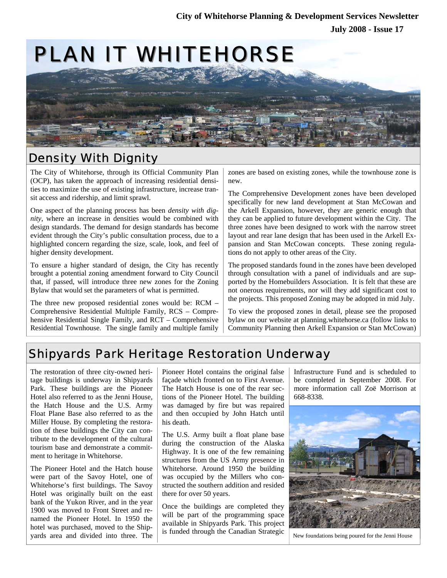

## Density With Dignity

The City of Whitehorse, through its Official Community Plan (OCP), has taken the approach of increasing residential densities to maximize the use of existing infrastructure, increase transit access and ridership, and limit sprawl.

One aspect of the planning process has been *density with dignity*, where an increase in densities would be combined with design standards. The demand for design standards has become evident through the City's public consultation process, due to a highlighted concern regarding the size, scale, look, and feel of higher density development.

To ensure a higher standard of design, the City has recently brought a potential zoning amendment forward to City Council that, if passed, will introduce three new zones for the Zoning Bylaw that would set the parameters of what is permitted.

The three new proposed residential zones would be: RCM – Comprehensive Residential Multiple Family, RCS – Comprehensive Residential Single Family, and RCT – Comprehensive Residential Townhouse. The single family and multiple family zones are based on existing zones, while the townhouse zone is new.

The Comprehensive Development zones have been developed specifically for new land development at Stan McCowan and the Arkell Expansion, however, they are generic enough that they can be applied to future development within the City. The three zones have been designed to work with the narrow street layout and rear lane design that has been used in the Arkell Expansion and Stan McCowan concepts. These zoning regulations do not apply to other areas of the City.

The proposed standards found in the zones have been developed through consultation with a panel of individuals and are supported by the Homebuilders Association. It is felt that these are not onerous requirements, nor will they add significant cost to the projects. This proposed Zoning may be adopted in mid July.

To view the proposed zones in detail, please see the proposed bylaw on our website at planning.whitehorse.ca (follow links to Community Planning then Arkell Expansion or Stan McCowan)

# Shipyards Park Heritage Restoration Underway

The restoration of three city-owned heritage buildings is underway in Shipyards Park. These buildings are the Pioneer Hotel also referred to as the Jenni House, the Hatch House and the U.S. Army Float Plane Base also referred to as the Miller House. By completing the restoration of these buildings the City can contribute to the development of the cultural tourism base and demonstrate a commitment to heritage in Whitehorse.

The Pioneer Hotel and the Hatch house were part of the Savoy Hotel, one of Whitehorse's first buildings. The Savoy Hotel was originally built on the east bank of the Yukon River, and in the year 1900 was moved to Front Street and renamed the Pioneer Hotel. In 1950 the hotel was purchased, moved to the Shipyards area and divided into three. The

Pioneer Hotel contains the original false façade which fronted on to First Avenue. The Hatch House is one of the rear sections of the Pioneer Hotel. The building was damaged by fire but was repaired and then occupied by John Hatch until his death.

The U.S. Army built a float plane base during the construction of the Alaska Highway. It is one of the few remaining structures from the US Army presence in Whitehorse. Around 1950 the building was occupied by the Millers who constructed the southern addition and resided there for over 50 years.

Once the buildings are completed they will be part of the programming space available in Shipyards Park. This project is funded through the Canadian Strategic

Infrastructure Fund and is scheduled to be completed in September 2008. For more information call Zoë Morrison at 668-8338.



New foundations being poured for the Jenni House